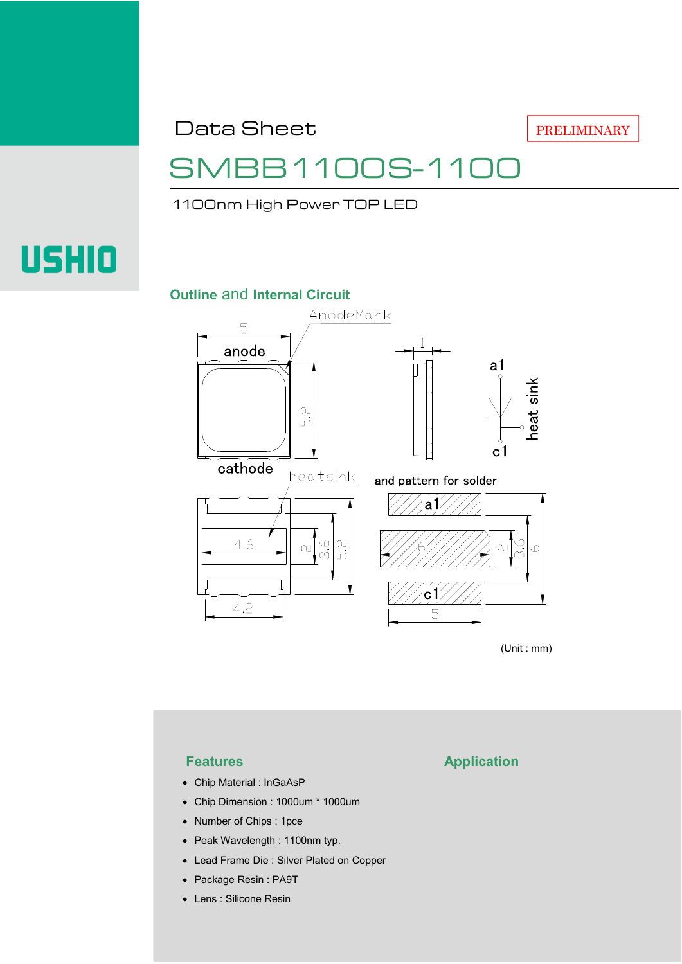Data Sheet

## 31100S-11C

1100nm High Power TOP LED

# **USHIO**

#### **Outline** and **Internal Circuit**



(Unit : mm)

- Chip Material : InGaAsP
- Chip Dimension : 1000um \* 1000um
- Number of Chips : 1pce
- Peak Wavelength : 1100nm typ.
- Lead Frame Die : Silver Plated on Copper
- Package Resin : PA9T
- Lens : Silicone Resin

#### **Features Application**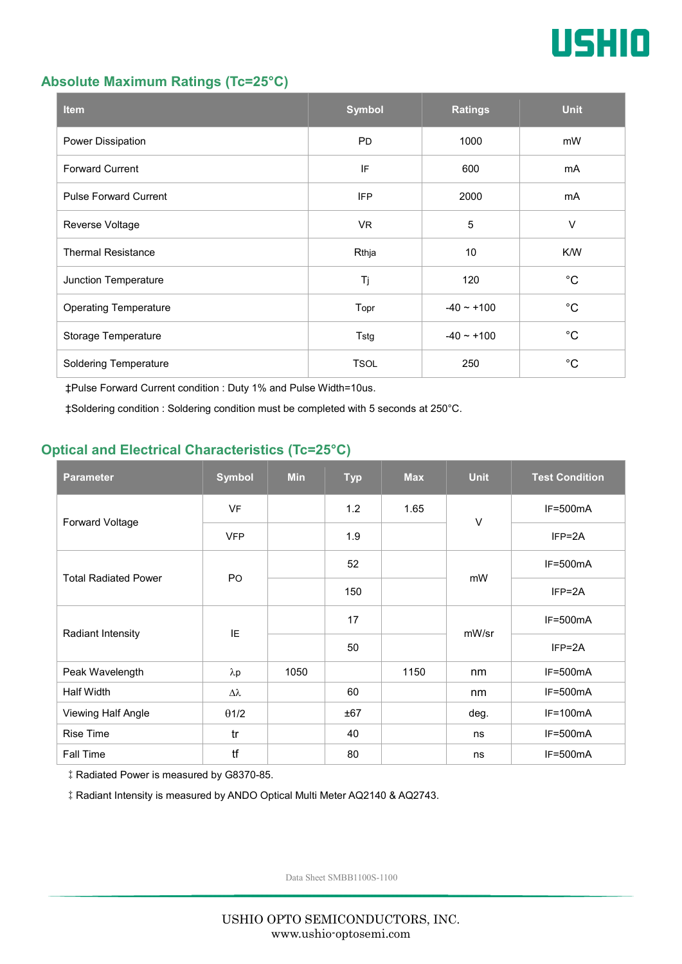

#### **Absolute Maximum Ratings (Tc=25°C)**

| <b>Item</b>                  | <b>Symbol</b> | <b>Ratings</b>  | <b>Unit</b> |
|------------------------------|---------------|-----------------|-------------|
| Power Dissipation            | <b>PD</b>     | 1000            | mW          |
| <b>Forward Current</b>       | IF            | 600             | mA          |
| <b>Pulse Forward Current</b> | <b>IFP</b>    | 2000            | mA          |
| Reverse Voltage              | VR.           | $\overline{5}$  | $\vee$      |
| <b>Thermal Resistance</b>    | Rthja         | 10              | K/W         |
| Junction Temperature         | Tj            | 120             | $^{\circ}C$ |
| <b>Operating Temperature</b> | Topr          | $-40 \sim +100$ | $^{\circ}C$ |
| Storage Temperature          | Tstg          | $-40 \sim +100$ | $^{\circ}C$ |
| <b>Soldering Temperature</b> | <b>TSOL</b>   | 250             | $^{\circ}C$ |

‡Pulse Forward Current condition : Duty 1% and Pulse Width=10us.

‡Soldering condition : Soldering condition must be completed with 5 seconds at 250°C.

#### **Optical and Electrical Characteristics (Tc=25°C)**

| <b>Parameter</b>            | <b>Symbol</b>    | <b>Min</b> | <b>Typ</b> | <b>Max</b> | <b>Unit</b> | <b>Test Condition</b> |
|-----------------------------|------------------|------------|------------|------------|-------------|-----------------------|
| Forward Voltage             | <b>VF</b>        |            | 1.2        | 1.65       | $\vee$      | $IF=500mA$            |
|                             | <b>VFP</b>       |            | 1.9        |            |             | $IFP = 2A$            |
| <b>Total Radiated Power</b> | P <sub>O</sub>   |            | 52         |            | mW          | $IF=500mA$            |
|                             |                  |            | 150        |            |             | $IFP = 2A$            |
| Radiant Intensity           | IE               |            | 17         |            | mW/sr       | $IF=500mA$            |
|                             |                  |            | 50         |            |             | $IFP = 2A$            |
| Peak Wavelength             | $\lambda$ p      | 1050       |            | 1150       | nm          | $IF=500mA$            |
| <b>Half Width</b>           | $\Delta \lambda$ |            | 60         |            | nm          | $IF=500mA$            |
| Viewing Half Angle          | $\theta$ 1/2     |            | ±67        |            | deg.        | $IF=100mA$            |
| <b>Rise Time</b>            | tr               |            | 40         |            | ns          | $IF=500mA$            |
| Fall Time                   | tf               |            | 80         |            | ns          | $IF=500mA$            |

‡Radiated Power is measured by G8370-85.

‡Radiant Intensity is measured by ANDO Optical Multi Meter AQ2140 & AQ2743.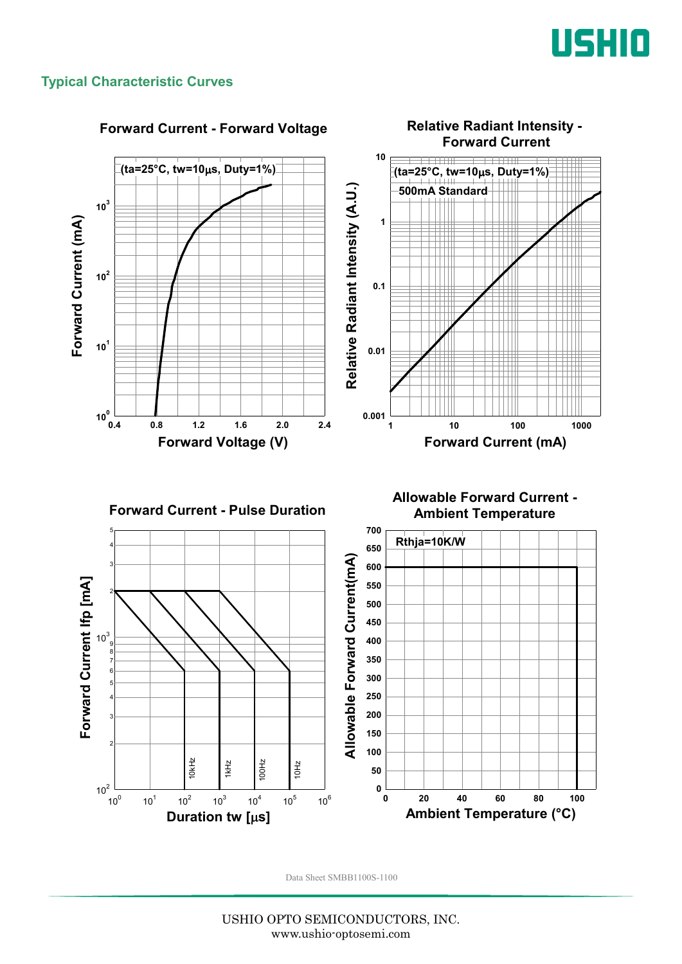

#### **Typical Characteristic Curves**



#### **Forward Current - Forward Voltage**

USHIO OPTO SEMICONDUCTORS, INC. www.ushio-optosemi.com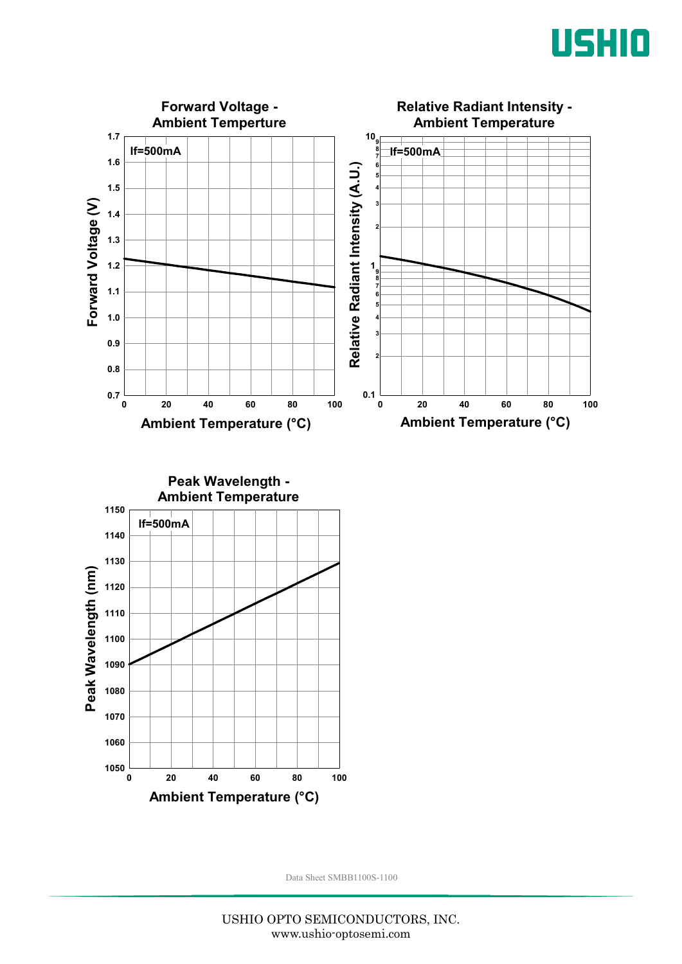



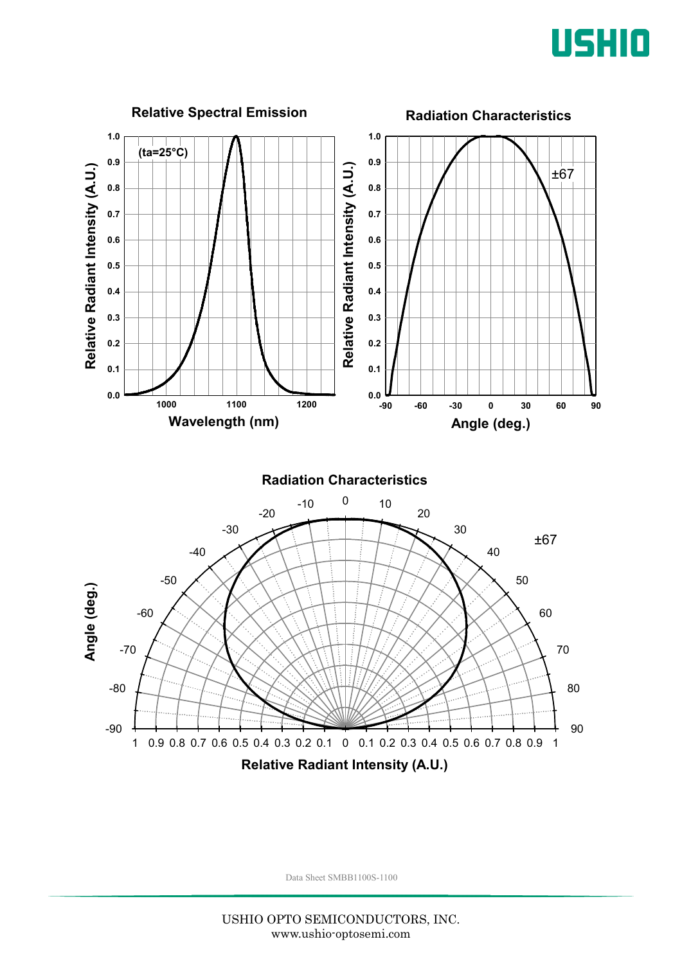

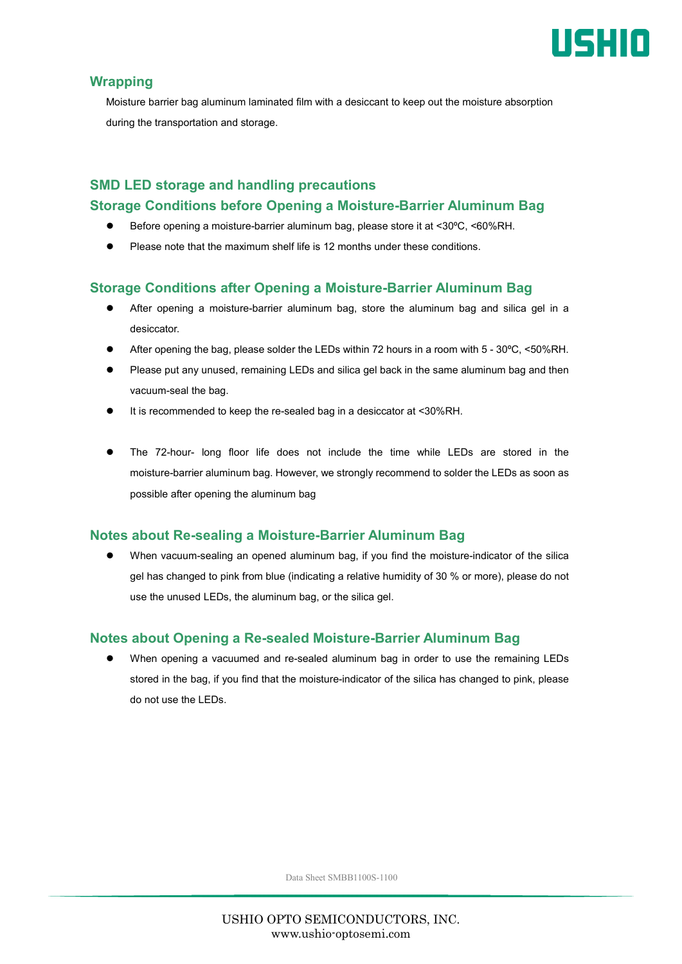

#### **Wrapping**

Moisture barrier bag aluminum laminated film with a desiccant to keep out the moisture absorption during the transportation and storage.

### **SMD LED storage and handling precautions Storage Conditions before Opening a Moisture-Barrier Aluminum Bag**

- Before opening a moisture-barrier aluminum bag, please store it at <30ºC, <60%RH.
- Please note that the maximum shelf life is 12 months under these conditions.

#### **Storage Conditions after Opening a Moisture-Barrier Aluminum Bag**

- After opening a moisture-barrier aluminum bag, store the aluminum bag and silica gel in a desiccator.
- After opening the bag, please solder the LEDs within 72 hours in a room with 5 30ºC, <50%RH.
- Please put any unused, remaining LEDs and silica gel back in the same aluminum bag and then vacuum-seal the bag.
- It is recommended to keep the re-sealed bag in a desiccator at <30%RH.
- The 72-hour- long floor life does not include the time while LEDs are stored in the moisture-barrier aluminum bag. However, we strongly recommend to solder the LEDs as soon as possible after opening the aluminum bag

#### **Notes about Re-sealing a Moisture-Barrier Aluminum Bag**

 When vacuum-sealing an opened aluminum bag, if you find the moisture-indicator of the silica gel has changed to pink from blue (indicating a relative humidity of 30 % or more), please do not use the unused LEDs, the aluminum bag, or the silica gel.

#### **Notes about Opening a Re-sealed Moisture-Barrier Aluminum Bag**

 When opening a vacuumed and re-sealed aluminum bag in order to use the remaining LEDs stored in the bag, if you find that the moisture-indicator of the silica has changed to pink, please do not use the LEDs.